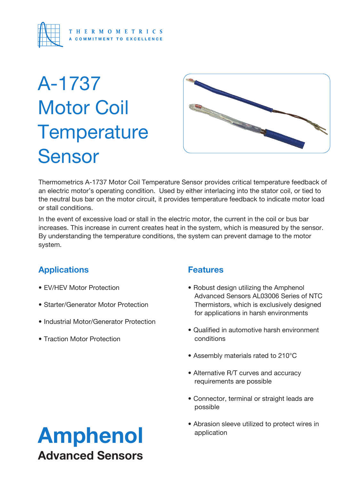

# A-1737 Motor Coil **Temperature** Sensor



Thermometrics A-1737 Motor Coil Temperature Sensor provides critical temperature feedback of an electric motor's operating condition. Used by either interlacing into the stator coil, or tied to the neutral bus bar on the motor circuit, it provides temperature feedback to indicate motor load or stall conditions.

In the event of excessive load or stall in the electric motor, the current in the coil or bus bar increases. This increase in current creates heat in the system, which is measured by the sensor. By understanding the temperature conditions, the system can prevent damage to the motor system.

## **Applications**

- EV/HEV Motor Protection
- Starter/Generator Motor Protection
- Industrial Motor/Generator Protection
- Traction Motor Protection

### **Features**

- Robust design utilizing the Amphenol Advanced Sensors AL03006 Series of NTC Thermistors, which is exclusively designed for applications in harsh environments
- Qualified in automotive harsh environment conditions
- Assembly materials rated to 210°C
- Alternative R/T curves and accuracy requirements are possible
- Connector, terminal or straight leads are possible
- Abrasion sleeve utilized to protect wires in application

## Amphenol Advanced Sensors